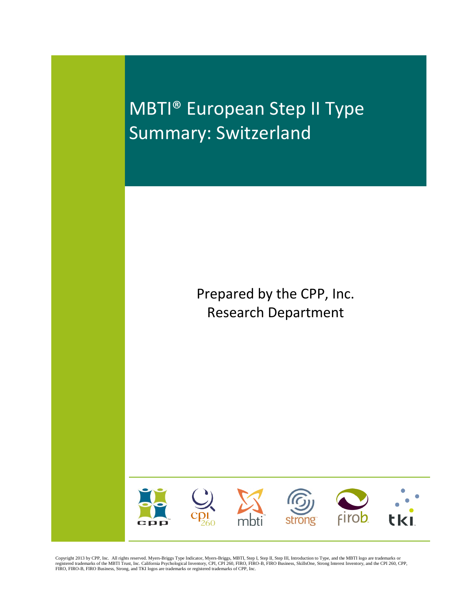MBTI® European Step II Type Summary: Switzerland

> Prepared by the CPP, Inc. Research Department



Copyright 2013 by CPP, Inc. All rights reserved. Myers-Briggs Type Indicator, Myers-Briggs, MBTI, Step I, Step II, Step II, Introduction to Type, and the MBTI logo are trademarks or<br>registered trademarks of the MBTI Trust,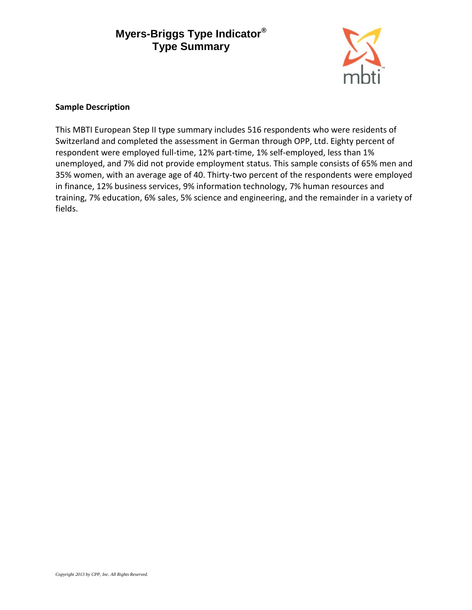

#### **Sample Description**

This MBTI European Step II type summary includes 516 respondents who were residents of Switzerland and completed the assessment in German through OPP, Ltd. Eighty percent of respondent were employed full-time, 12% part-time, 1% self-employed, less than 1% unemployed, and 7% did not provide employment status. This sample consists of 65% men and 35% women, with an average age of 40. Thirty-two percent of the respondents were employed in finance, 12% business services, 9% information technology, 7% human resources and training, 7% education, 6% sales, 5% science and engineering, and the remainder in a variety of fields.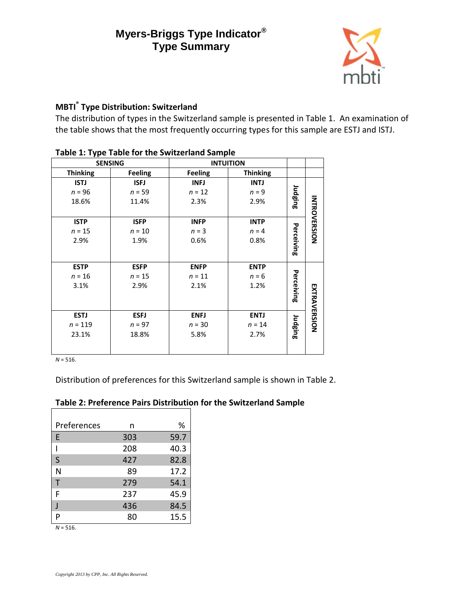

## **MBTI® Type Distribution: Switzerland**

The distribution of types in the Switzerland sample is presented in Table 1. An examination of the table shows that the most frequently occurring types for this sample are ESTJ and ISTJ.

| - יי            | <b>SENSING</b> |                | <b>INTUITION</b> |            |                     |
|-----------------|----------------|----------------|------------------|------------|---------------------|
| <b>Thinking</b> | <b>Feeling</b> | <b>Feeling</b> | <b>Thinking</b>  |            |                     |
| <b>ISTJ</b>     | <b>ISFJ</b>    | <b>INFJ</b>    | <b>INTJ</b>      |            |                     |
| $n = 96$        | $n = 59$       | $n = 12$       | $n = 9$          |            |                     |
| 18.6%           | 11.4%          | 2.3%           | 2.9%             | Judging    |                     |
|                 |                |                |                  |            |                     |
| <b>ISTP</b>     | <b>ISFP</b>    | <b>INFP</b>    | <b>INTP</b>      |            | <b>INTROVERSION</b> |
| $n = 15$        | $n = 10$       | $n = 3$        | $n = 4$          |            |                     |
| 2.9%            | 1.9%           | 0.6%           | 0.8%             |            |                     |
|                 |                |                |                  | Perceiving |                     |
|                 |                |                |                  |            |                     |
| <b>ESTP</b>     | <b>ESFP</b>    | <b>ENFP</b>    | <b>ENTP</b>      |            |                     |
| $n = 16$        | $n = 15$       | $n = 11$       | $n = 6$          |            |                     |
| 3.1%            | 2.9%           | 2.1%           | 1.2%             |            |                     |
|                 |                |                |                  | Perceiving |                     |
|                 |                |                |                  |            |                     |
| <b>ESTJ</b>     | <b>ESFJ</b>    | <b>ENFJ</b>    | <b>ENTJ</b>      |            | <b>EXTRAVERSION</b> |
| $n = 119$       | $n = 97$       | $n = 30$       | $n = 14$         | Judging    |                     |
| 23.1%           | 18.8%          | 5.8%           | 2.7%             |            |                     |
|                 |                |                |                  |            |                     |
|                 |                |                |                  |            |                     |

## **Table 1: Type Table for the Switzerland Sample**

*N* = 516.

Distribution of preferences for this Switzerland sample is shown in Table 2.

## **Table 2: Preference Pairs Distribution for the Switzerland Sample**

| n   | ℅    |
|-----|------|
| 303 | 59.7 |
| 208 | 40.3 |
| 427 | 82.8 |
| 89  | 17.2 |
| 279 | 54.1 |
| 237 | 45.9 |
| 436 | 84.5 |
| 80  | 15.5 |
|     |      |

*N* = 516.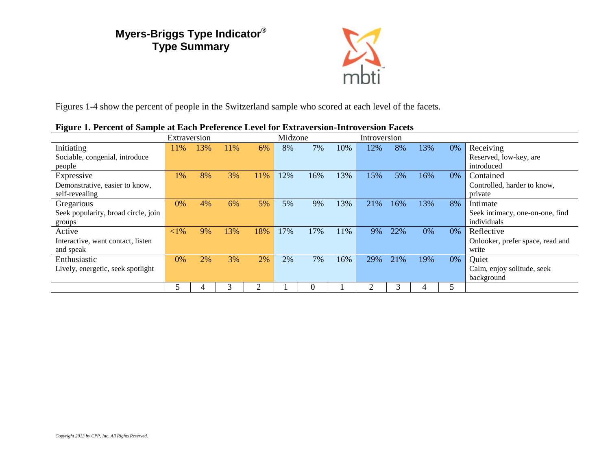

Figures 1-4 show the percent of people in the Switzerland sample who scored at each level of the facets.

|                                     | Extraversion |     |     |     | Midzone |     |     | Introversion |     |     |    |                                  |
|-------------------------------------|--------------|-----|-----|-----|---------|-----|-----|--------------|-----|-----|----|----------------------------------|
| Initiating                          | 11%          | 13% | 11% | 6%  | 8%      | 7%  | 10% | 12%          | 8%  | 13% | 0% | Receiving                        |
| Sociable, congenial, introduce      |              |     |     |     |         |     |     |              |     |     |    | Reserved, low-key, are           |
| people                              |              |     |     |     |         |     |     |              |     |     |    | introduced                       |
| Expressive                          | $1\%$        | 8%  | 3%  | 11% | 12%     | 16% | 13% | 15%          | 5%  | 16% | 0% | Contained                        |
| Demonstrative, easier to know,      |              |     |     |     |         |     |     |              |     |     |    | Controlled, harder to know,      |
| self-revealing                      |              |     |     |     |         |     |     |              |     |     |    | private                          |
| Gregarious                          | 0%           | 4%  | 6%  | 5%  | 5%      | 9%  | 13% | 21%          | 16% | 13% | 8% | Intimate                         |
| Seek popularity, broad circle, join |              |     |     |     |         |     |     |              |     |     |    | Seek intimacy, one-on-one, find  |
| groups                              |              |     |     |     |         |     |     |              |     |     |    | individuals                      |
| Active                              | ${<}1\%$     | 9%  | 13% | 18% | 17%     | 17% | 11% | 9%           | 22% | 0%  | 0% | Reflective                       |
| Interactive, want contact, listen   |              |     |     |     |         |     |     |              |     |     |    | Onlooker, prefer space, read and |
| and speak                           |              |     |     |     |         |     |     |              |     |     |    | write                            |
| Enthusiastic                        | 0%           | 2%  | 3%  | 2%  | 2%      | 7%  | 16% | 29%          | 21% | 19% | 0% | Quiet                            |
| Lively, energetic, seek spotlight   |              |     |     |     |         |     |     |              |     |     |    | Calm, enjoy solitude, seek       |
|                                     |              |     |     |     |         |     |     |              |     |     |    | background                       |
|                                     |              |     |     |     |         |     |     |              |     | 4   | 5  |                                  |

#### **Figure 1. Percent of Sample at Each Preference Level for Extraversion-Introversion Facets**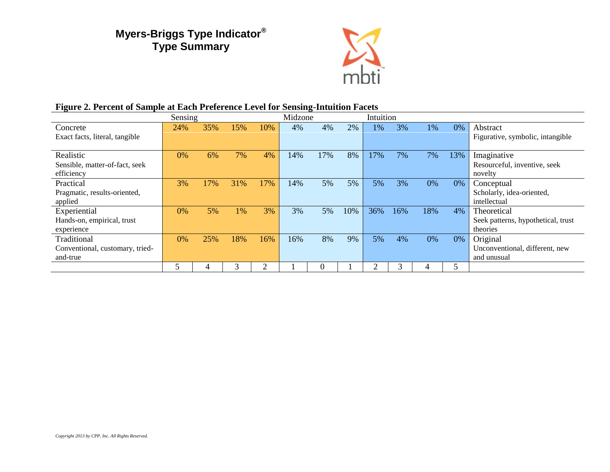

| Figure 2. Percent of Sample at Each Preference Level for Sensing-Intuition Facets |  |  |
|-----------------------------------------------------------------------------------|--|--|
|                                                                                   |  |  |

|                                                            | Sensing |     |     |     | Midzone |     |     |     | Intuition |     |     |                                                               |
|------------------------------------------------------------|---------|-----|-----|-----|---------|-----|-----|-----|-----------|-----|-----|---------------------------------------------------------------|
| Concrete<br>Exact facts, literal, tangible                 | 24%     | 35% | 15% | 10% | 4%      | 4%  | 2%  | 1%  | 3%        | 1%  | 0%  | Abstract<br>Figurative, symbolic, intangible                  |
| Realistic<br>Sensible, matter-of-fact, seek<br>efficiency  | $0\%$   | 6%  | 7%  | 4%  | 14%     | 17% | 8%  | 17% | 7%        | 7%  | 13% | Imaginative<br>Resourceful, inventive, seek<br>novelty        |
| Practical<br>Pragmatic, results-oriented,<br>applied       | 3%      | 17% | 31% | 17% | 14%     | 5%  | 5%  | 5%  | 3%        | 0%  | 0%  | Conceptual<br>Scholarly, idea-oriented,<br>intellectual       |
| Experiential<br>Hands-on, empirical, trust<br>experience   | 0%      | 5%  | 1%  | 3%  | 3%      | 5%  | 10% | 36% | 16%       | 18% | 4%  | Theoretical<br>Seek patterns, hypothetical, trust<br>theories |
| Traditional<br>Conventional, customary, tried-<br>and-true | 0%      | 25% | 18% | 16% | 16%     | 8%  | 9%  | 5%  | 4%        | 0%  | 0%  | Original<br>Unconventional, different, new<br>and unusual     |
|                                                            |         |     |     | ി   |         |     |     |     |           |     |     |                                                               |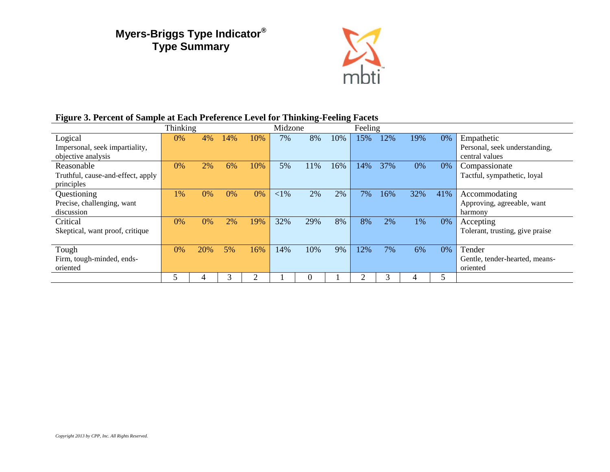

## **Figure 3. Percent of Sample at Each Preference Level for Thinking-Feeling Facets**

|                                                 | Thinking |     |     |               | Midzone  |     | Feeling |     |     |     |     |                                              |
|-------------------------------------------------|----------|-----|-----|---------------|----------|-----|---------|-----|-----|-----|-----|----------------------------------------------|
| Logical<br>Impersonal, seek impartiality,       | $0\%$    | 4%  | 14% | 10%           | 7%       | 8%  | 10%     | 15% | 12% | 19% | 0%  | Empathetic<br>Personal, seek understanding,  |
| objective analysis                              |          |     |     |               |          |     |         |     |     |     |     | central values                               |
| Reasonable<br>Truthful, cause-and-effect, apply | 0%       | 2%  | 6%  | 10%           | 5%       | 11% | 16%     | 14% | 37% | 0%  | 0%  | Compassionate<br>Tactful, sympathetic, loyal |
| principles                                      |          |     |     |               |          |     |         |     |     |     |     |                                              |
| Questioning                                     | 1%       | 0%  | 0%  | 0%            | ${<}1\%$ | 2%  | 2%      | 7%  | 16% | 32% | 41% | Accommodating                                |
| Precise, challenging, want<br>discussion        |          |     |     |               |          |     |         |     |     |     |     | Approving, agreeable, want<br>harmony        |
| Critical                                        | 0%       | 0%  | 2%  | 19%           | 32%      | 29% | 8%      | 8%  | 2%  | 1%  | 0%  | Accepting                                    |
| Skeptical, want proof, critique                 |          |     |     |               |          |     |         |     |     |     |     | Tolerant, trusting, give praise              |
| Tough                                           | 0%       | 20% | 5%  | 16%           | 14%      | 10% | 9%      | 12% | 7%  | 6%  | 0%  | Tender                                       |
| Firm, tough-minded, ends-<br>oriented           |          |     |     |               |          |     |         |     |     |     |     | Gentle, tender-hearted, means-<br>oriented   |
|                                                 |          | 4   | 3   | $\mathcal{P}$ |          | 0   |         |     | 3   |     | 5   |                                              |